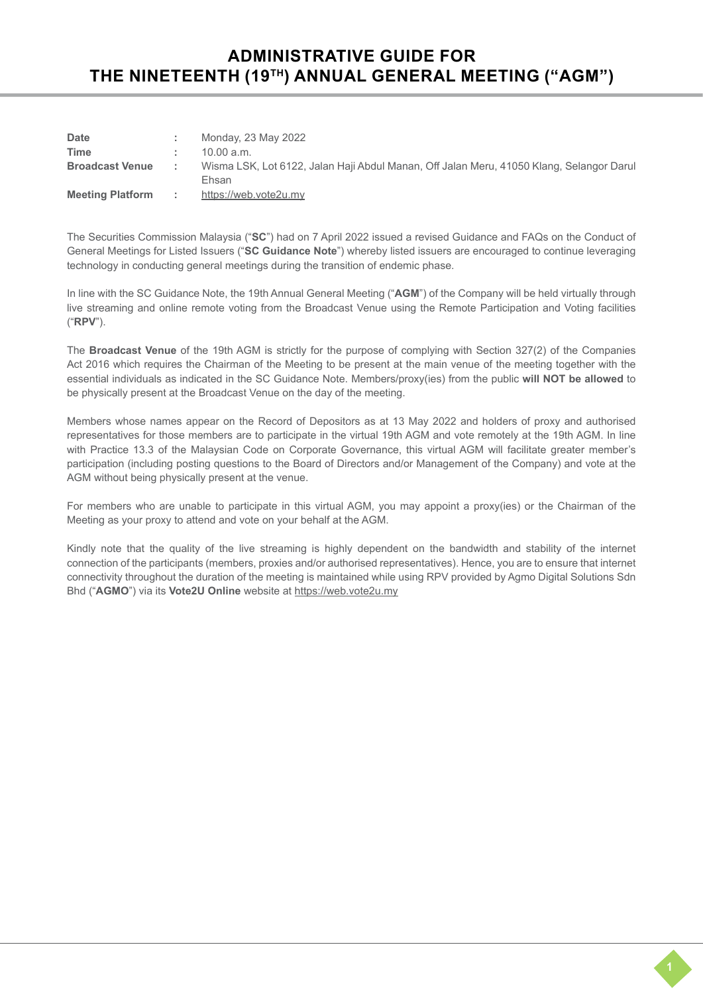# **ADMINISTRATIVE GUIDE FOR THE NINETEENTH (19TH) ANNUAL GENERAL MEETING ("AGM")**

| <b>Date</b>             | Monday, 23 May 2022                                                                               |
|-------------------------|---------------------------------------------------------------------------------------------------|
| <b>Time</b>             | 10.00 a.m.                                                                                        |
| <b>Broadcast Venue</b>  | Wisma LSK, Lot 6122, Jalan Haji Abdul Manan, Off Jalan Meru, 41050 Klang, Selangor Darul<br>Ehsan |
| <b>Meeting Platform</b> | https://web.vote2u.my                                                                             |

The Securities Commission Malaysia ("**SC**") had on 7 April 2022 issued a revised Guidance and FAQs on the Conduct of General Meetings for Listed Issuers ("**SC Guidance Note**") whereby listed issuers are encouraged to continue leveraging technology in conducting general meetings during the transition of endemic phase.

In line with the SC Guidance Note, the 19th Annual General Meeting ("**AGM**") of the Company will be held virtually through live streaming and online remote voting from the Broadcast Venue using the Remote Participation and Voting facilities ("**RPV**").

The **Broadcast Venue** of the 19th AGM is strictly for the purpose of complying with Section 327(2) of the Companies Act 2016 which requires the Chairman of the Meeting to be present at the main venue of the meeting together with the essential individuals as indicated in the SC Guidance Note. Members/proxy(ies) from the public **will NOT be allowed** to be physically present at the Broadcast Venue on the day of the meeting.

Members whose names appear on the Record of Depositors as at 13 May 2022 and holders of proxy and authorised representatives for those members are to participate in the virtual 19th AGM and vote remotely at the 19th AGM. In line with Practice 13.3 of the Malaysian Code on Corporate Governance, this virtual AGM will facilitate greater member's participation (including posting questions to the Board of Directors and/or Management of the Company) and vote at the AGM without being physically present at the venue.

For members who are unable to participate in this virtual AGM, you may appoint a proxy(ies) or the Chairman of the Meeting as your proxy to attend and vote on your behalf at the AGM.

Kindly note that the quality of the live streaming is highly dependent on the bandwidth and stability of the internet connection of the participants (members, proxies and/or authorised representatives). Hence, you are to ensure that internet connectivity throughout the duration of the meeting is maintained while using RPV provided by Agmo Digital Solutions Sdn Bhd ("**AGMO**") via its **Vote2U Online** website at https://web.vote2u.my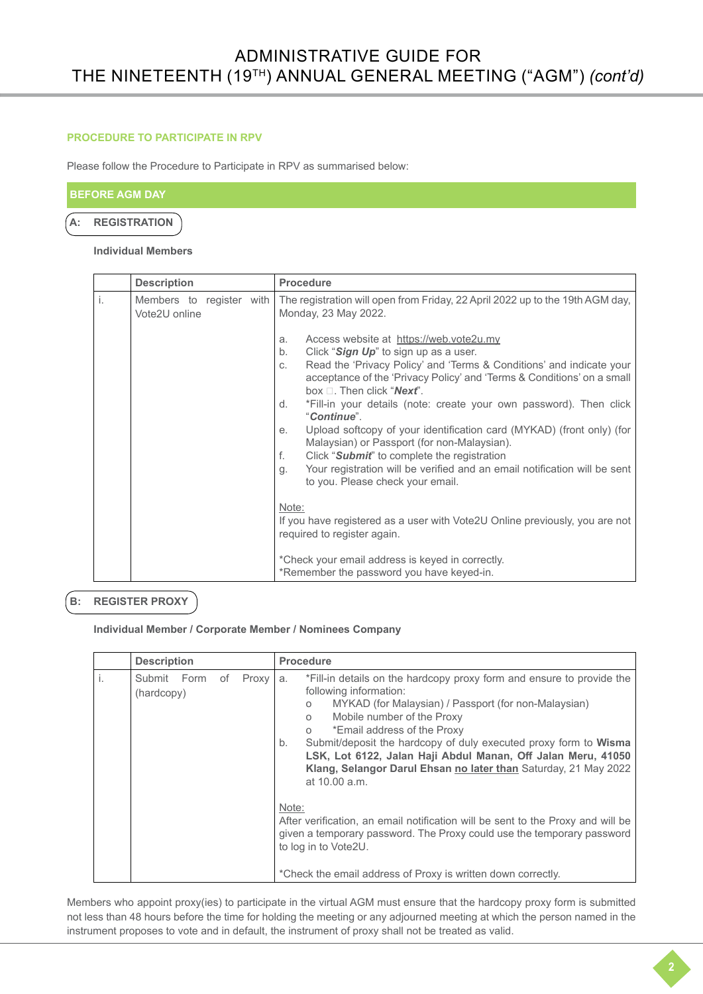# ADMINISTRATIVE GUIDE FOR THE NINETEENTH (19TH) ANNUAL GENERAL MEETING ("AGM") *(cont'd)*

## **PROCEDURE TO PARTICIPATE IN RPV**

Please follow the Procedure to Participate in RPV as summarised below:

### **BEFORE AGM DAY**

# **A: REGISTRATION**

#### **Individual Members**

|    | <b>Description</b>                        | <b>Procedure</b>                                                                                                                                                                                                                                                                                                                                                                                                                                                                                                                                                                                                                                                                                           |
|----|-------------------------------------------|------------------------------------------------------------------------------------------------------------------------------------------------------------------------------------------------------------------------------------------------------------------------------------------------------------------------------------------------------------------------------------------------------------------------------------------------------------------------------------------------------------------------------------------------------------------------------------------------------------------------------------------------------------------------------------------------------------|
| i. | Members to register with<br>Vote2U online | The registration will open from Friday, 22 April 2022 up to the 19th AGM day,<br>Monday, 23 May 2022.                                                                                                                                                                                                                                                                                                                                                                                                                                                                                                                                                                                                      |
|    |                                           | Access website at https://web.vote2u.my<br>a.<br>Click "Sign Up" to sign up as a user.<br>b.<br>Read the 'Privacy Policy' and 'Terms & Conditions' and indicate your<br>$C_{-}$<br>acceptance of the 'Privacy Policy' and 'Terms & Conditions' on a small<br>box $\Box$ . Then click " <b>Next</b> ".<br>*Fill-in your details (note: create your own password). Then click<br>d.<br>"Continue".<br>Upload softcopy of your identification card (MYKAD) (front only) (for<br>е.<br>Malaysian) or Passport (for non-Malaysian).<br>Click "Submit" to complete the registration<br>f.<br>Your registration will be verified and an email notification will be sent<br>g.<br>to you. Please check your email. |
|    |                                           | Note:<br>If you have registered as a user with Vote2U Online previously, you are not<br>required to register again.<br>*Check your email address is keyed in correctly.                                                                                                                                                                                                                                                                                                                                                                                                                                                                                                                                    |
|    |                                           | *Remember the password you have keyed-in.                                                                                                                                                                                                                                                                                                                                                                                                                                                                                                                                                                                                                                                                  |

# **B: REGISTER PROXY**

**Individual Member / Corporate Member / Nominees Company**

|    | <b>Description</b>                      | <b>Procedure</b>                                                                                                                                                                                                                                                                                                                                                                                                                                                                           |
|----|-----------------------------------------|--------------------------------------------------------------------------------------------------------------------------------------------------------------------------------------------------------------------------------------------------------------------------------------------------------------------------------------------------------------------------------------------------------------------------------------------------------------------------------------------|
| Τ. | Submit Form of<br>Proxy I<br>(hardcopy) | *Fill-in details on the hardcopy proxy form and ensure to provide the<br>а.<br>following information:<br>MYKAD (for Malaysian) / Passport (for non-Malaysian)<br>$\circ$<br>Mobile number of the Proxy<br>$\Omega$<br>*Email address of the Proxy<br>$\circ$<br>Submit/deposit the hardcopy of duly executed proxy form to Wisma<br>b.<br>LSK, Lot 6122, Jalan Haji Abdul Manan, Off Jalan Meru, 41050<br>Klang, Selangor Darul Ehsan no later than Saturday, 21 May 2022<br>at 10.00 a.m. |
|    |                                         | Note:<br>After verification, an email notification will be sent to the Proxy and will be<br>given a temporary password. The Proxy could use the temporary password<br>to log in to Vote2U.<br>*Check the email address of Proxy is written down correctly.                                                                                                                                                                                                                                 |

Members who appoint proxy(ies) to participate in the virtual AGM must ensure that the hardcopy proxy form is submitted not less than 48 hours before the time for holding the meeting or any adjourned meeting at which the person named in the instrument proposes to vote and in default, the instrument of proxy shall not be treated as valid.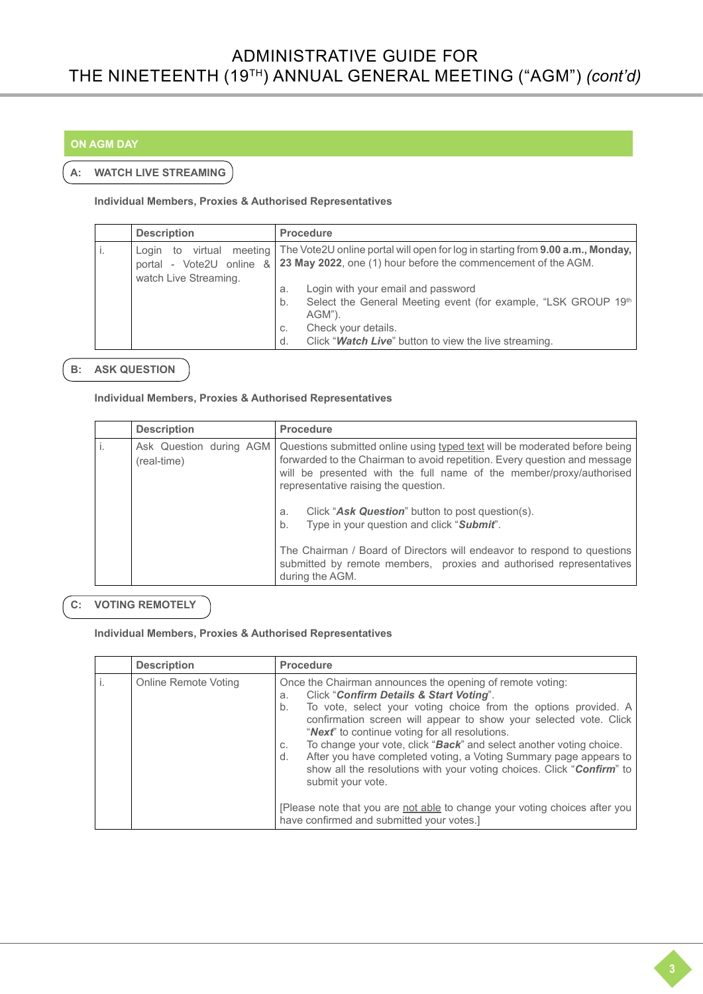# ADMINISTRATIVE GUIDE FOR THE NINETEENTH (19TH) ANNUAL GENERAL MEETING ("AGM") *(cont'd)*

### **ON AGM DAY**

## **A: WATCH LIVE STREAMING**

**Individual Members, Proxies & Authorised Representatives** 

| <b>Description</b>    | <b>Procedure</b>                                                                                                                                                                                                      |
|-----------------------|-----------------------------------------------------------------------------------------------------------------------------------------------------------------------------------------------------------------------|
| Login to<br>portal    | virtual meeting   The Vote2U online portal will open for log in starting from <b>9.00 a.m., Monday,</b>  <br>- Vote2U online $\&$ 23 May 2022, one (1) hour before the commencement of the AGM.                       |
| watch Live Streaming. | Login with your email and password<br>a.<br>Select the General Meeting event (for example, "LSK GROUP 19th<br>b.<br>AGM").<br>Check your details.<br>C.<br>Click "Watch Live" button to view the live streaming.<br>d |

# **B: ASK QUESTION**

#### **Individual Members, Proxies & Authorised Representatives**

| <b>Description</b>                     | <b>Procedure</b>                                                                                                                                                                                                                                                       |
|----------------------------------------|------------------------------------------------------------------------------------------------------------------------------------------------------------------------------------------------------------------------------------------------------------------------|
| Ask Question during AGM<br>(real-time) | Questions submitted online using typed text will be moderated before being<br>forwarded to the Chairman to avoid repetition. Every question and message<br>will be presented with the full name of the member/proxy/authorised<br>representative raising the question. |
|                                        | Click "Ask Question" button to post question(s).<br>a.<br>Type in your question and click "Submit".<br>b.                                                                                                                                                              |
|                                        | The Chairman / Board of Directors will endeavor to respond to questions<br>submitted by remote members, proxies and authorised representatives<br>during the AGM.                                                                                                      |

## **C: VOTING REMOTELY**

#### **Individual Members, Proxies & Authorised Representatives**

| <b>Description</b>          | <b>Procedure</b>                                                                                                                                                                                                                                                                                                                                                                                                                                                                                                                                                 |
|-----------------------------|------------------------------------------------------------------------------------------------------------------------------------------------------------------------------------------------------------------------------------------------------------------------------------------------------------------------------------------------------------------------------------------------------------------------------------------------------------------------------------------------------------------------------------------------------------------|
| <b>Online Remote Voting</b> | Once the Chairman announces the opening of remote voting:<br>Click "Confirm Details & Start Voting".<br>a.<br>To vote, select your voting choice from the options provided. A<br>b.<br>confirmation screen will appear to show your selected vote. Click<br>"Next" to continue voting for all resolutions.<br>To change your vote, click "Back" and select another voting choice.<br>C.<br>After you have completed voting, a Voting Summary page appears to<br>d.<br>show all the resolutions with your voting choices. Click "Confirm" to<br>submit your vote. |
|                             | [Please note that you are not able to change your voting choices after you<br>have confirmed and submitted your votes.]                                                                                                                                                                                                                                                                                                                                                                                                                                          |